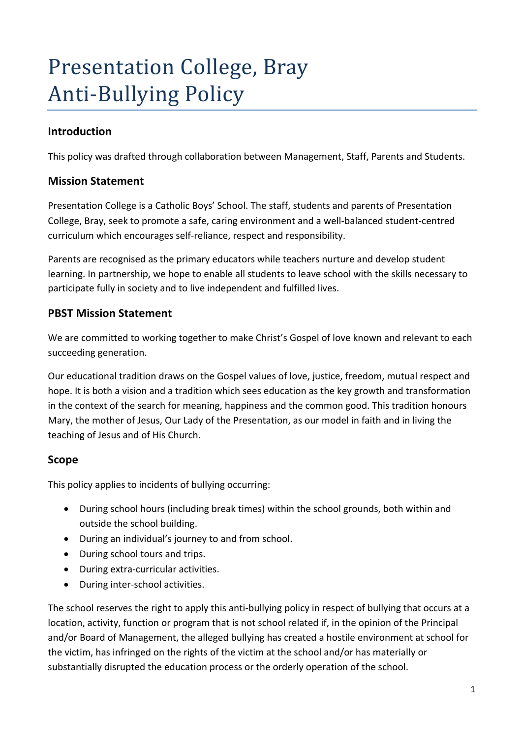# Presentation College, Bray **Anti-Bullying Policy**

# **Introduction**

This policy was drafted through collaboration between Management, Staff, Parents and Students.

## **Mission Statement**

Presentation College is a Catholic Boys' School. The staff, students and parents of Presentation College, Bray, seek to promote a safe, caring environment and a well-balanced student-centred curriculum which encourages self-reliance, respect and responsibility.

Parents are recognised as the primary educators while teachers nurture and develop student learning. In partnership, we hope to enable all students to leave school with the skills necessary to participate fully in society and to live independent and fulfilled lives.

## **PBST Mission Statement**

We are committed to working together to make Christ's Gospel of love known and relevant to each succeeding generation.

Our educational tradition draws on the Gospel values of love, justice, freedom, mutual respect and hope. It is both a vision and a tradition which sees education as the key growth and transformation in the context of the search for meaning, happiness and the common good. This tradition honours Mary, the mother of Jesus, Our Lady of the Presentation, as our model in faith and in living the teaching of Jesus and of His Church.

# **Scope**

This policy applies to incidents of bullying occurring:

- During school hours (including break times) within the school grounds, both within and outside the school building.
- During an individual's journey to and from school.
- During school tours and trips.
- During extra-curricular activities.
- During inter-school activities.

The school reserves the right to apply this anti-bullying policy in respect of bullying that occurs at a location, activity, function or program that is not school related if, in the opinion of the Principal and/or Board of Management, the alleged bullying has created a hostile environment at school for the victim, has infringed on the rights of the victim at the school and/or has materially or substantially disrupted the education process or the orderly operation of the school.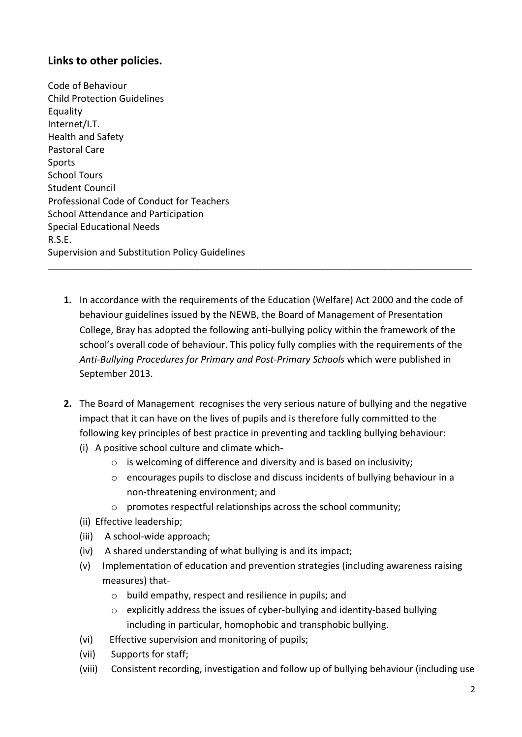# **Links to other policies.**

Code of Behaviour Child Protection Guidelines **Equality** Internet/I.T. Health and Safety Pastoral Care Sports School Tours Student Council Professional Code of Conduct for Teachers School Attendance and Participation Special Educational Needs R.S.E. Supervision and Substitution Policy Guidelines

**1.** In accordance with the requirements of the Education (Welfare) Act 2000 and the code of behaviour guidelines issued by the NEWB, the Board of Management of Presentation College, Bray has adopted the following anti-bullying policy within the framework of the school's overall code of behaviour. This policy fully complies with the requirements of the *Anti-Bullying Procedures for Primary and Post-Primary Schools* which were published in September 2013.

\_\_\_\_\_\_\_\_\_\_\_\_\_\_\_\_\_\_\_\_\_\_\_\_\_\_\_\_\_\_\_\_\_\_\_\_\_\_\_\_\_\_\_\_\_\_\_\_\_\_\_\_\_\_\_\_\_\_\_\_\_\_\_\_\_\_\_\_\_\_\_\_\_\_\_\_\_\_\_\_\_

- **2.** The Board of Management recognises the very serious nature of bullying and the negative impact that it can have on the lives of pupils and is therefore fully committed to the following key principles of best practice in preventing and tackling bullying behaviour:
	- (i) A positive school culture and climate which-
		- $\circ$  is welcoming of difference and diversity and is based on inclusivity;
		- o encourages pupils to disclose and discuss incidents of bullying behaviour in a non-threatening environment; and
		- o promotes respectful relationships across the school community;
	- (ii) Effective leadership;
	- (iii) A school-wide approach;
	- (iv) A shared understanding of what bullying is and its impact;
	- (v) Implementation of education and prevention strategies (including awareness raising measures) that
		- o build empathy, respect and resilience in pupils; and
		- o explicitly address the issues of cyber-bullying and identity-based bullying including in particular, homophobic and transphobic bullying.
	- (vi) Effective supervision and monitoring of pupils;
	- (vii) Supports for staff;
	- (viii) Consistent recording, investigation and follow up of bullying behaviour (including use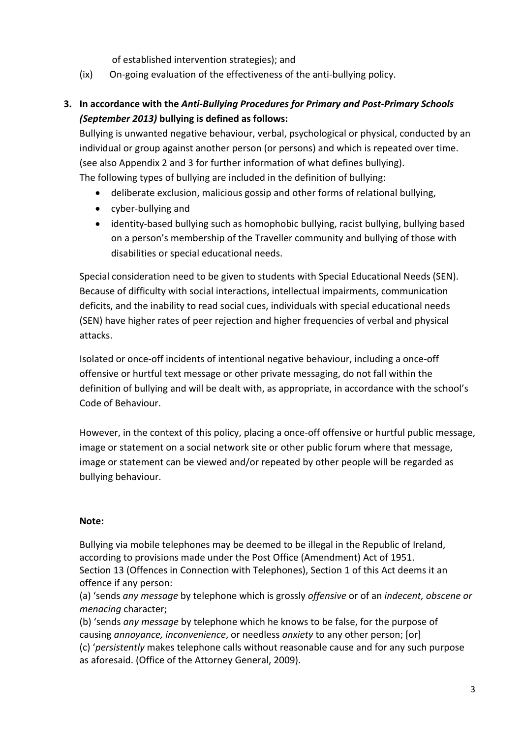of established intervention strategies); and

(ix) On-going evaluation of the effectiveness of the anti-bullying policy.

# **3. In accordance with the** *Anti-Bullying Procedures for Primary and Post-Primary Schools (September 2013)* **bullying is defined as follows:**

Bullying is unwanted negative behaviour, verbal, psychological or physical, conducted by an individual or group against another person (or persons) and which is repeated over time. (see also Appendix 2 and 3 for further information of what defines bullying). The following types of bullying are included in the definition of bullying:

- deliberate exclusion, malicious gossip and other forms of relational bullying,
- cyber-bullying and
- identity-based bullying such as homophobic bullying, racist bullying, bullying based on a person's membership of the Traveller community and bullying of those with disabilities or special educational needs.

Special consideration need to be given to students with Special Educational Needs (SEN). Because of difficulty with social interactions, intellectual impairments, communication deficits, and the inability to read social cues, individuals with special educational needs (SEN) have higher rates of peer rejection and higher frequencies of verbal and physical attacks.

Isolated or once-off incidents of intentional negative behaviour, including a once-off offensive or hurtful text message or other private messaging, do not fall within the definition of bullying and will be dealt with, as appropriate, in accordance with the school's Code of Behaviour.

However, in the context of this policy, placing a once-off offensive or hurtful public message, image or statement on a social network site or other public forum where that message, image or statement can be viewed and/or repeated by other people will be regarded as bullying behaviour.

## **Note:**

Bullying via mobile telephones may be deemed to be illegal in the Republic of Ireland, according to provisions made under the Post Office (Amendment) Act of 1951. Section 13 (Offences in Connection with Telephones), Section 1 of this Act deems it an offence if any person:

(a) 'sends *any message* by telephone which is grossly *offensive* or of an *indecent, obscene or menacing* character;

(b) 'sends *any message* by telephone which he knows to be false, for the purpose of causing *annoyance, inconvenience*, or needless *anxiety* to any other person; [or] (c) '*persistently* makes telephone calls without reasonable cause and for any such purpose as aforesaid. (Office of the Attorney General, 2009).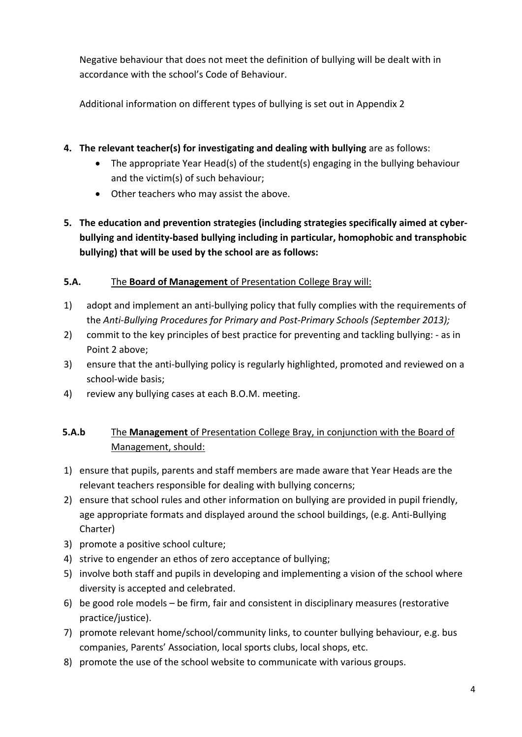Negative behaviour that does not meet the definition of bullying will be dealt with in accordance with the school's Code of Behaviour.

Additional information on different types of bullying is set out in Appendix 2

- **4. The relevant teacher(s) for investigating and dealing with bullying** are as follows:
	- The appropriate Year Head(s) of the student(s) engaging in the bullying behaviour and the victim(s) of such behaviour;
	- Other teachers who may assist the above.
- **5. The education and prevention strategies (including strategies specifically aimed at cyberbullying and identity-based bullying including in particular, homophobic and transphobic bullying) that will be used by the school are as follows:**

## **5.A.** The **Board of Management** of Presentation College Bray will:

- 1) adopt and implement an anti-bullying policy that fully complies with the requirements of the *Anti-Bullying Procedures for Primary and Post-Primary Schools (September 2013);*
- 2) commit to the key principles of best practice for preventing and tackling bullying: as in Point 2 above;
- 3) ensure that the anti-bullying policy is regularly highlighted, promoted and reviewed on a school-wide basis;
- 4) review any bullying cases at each B.O.M. meeting.

# **5.A.b** The **Management** of Presentation College Bray, in conjunction with the Board of Management, should:

- 1) ensure that pupils, parents and staff members are made aware that Year Heads are the relevant teachers responsible for dealing with bullying concerns;
- 2) ensure that school rules and other information on bullying are provided in pupil friendly, age appropriate formats and displayed around the school buildings, (e.g. Anti-Bullying Charter)
- 3) promote a positive school culture;
- 4) strive to engender an ethos of zero acceptance of bullying;
- 5) involve both staff and pupils in developing and implementing a vision of the school where diversity is accepted and celebrated.
- 6) be good role models be firm, fair and consistent in disciplinary measures (restorative practice/justice).
- 7) promote relevant home/school/community links, to counter bullying behaviour, e.g. bus companies, Parents' Association, local sports clubs, local shops, etc.
- 8) promote the use of the school website to communicate with various groups.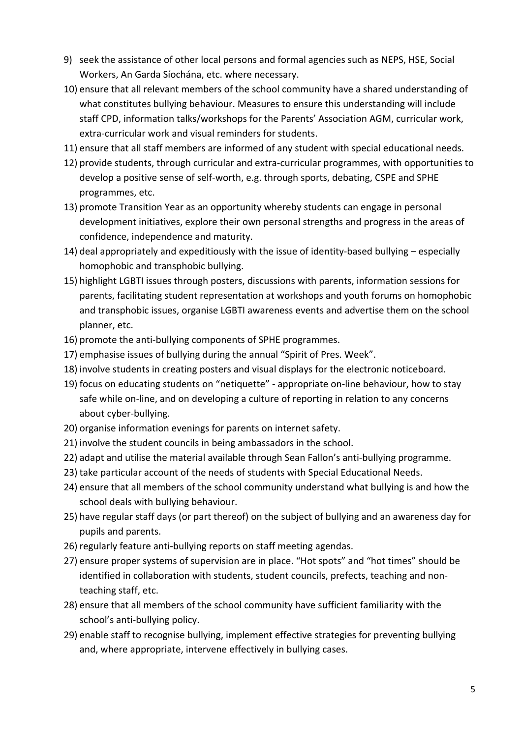- 9) seek the assistance of other local persons and formal agencies such as NEPS, HSE, Social Workers, An Garda Síochána, etc. where necessary.
- 10) ensure that all relevant members of the school community have a shared understanding of what constitutes bullying behaviour. Measures to ensure this understanding will include staff CPD, information talks/workshops for the Parents' Association AGM, curricular work, extra-curricular work and visual reminders for students.
- 11) ensure that all staff members are informed of any student with special educational needs.
- 12) provide students, through curricular and extra-curricular programmes, with opportunities to develop a positive sense of self-worth, e.g. through sports, debating, CSPE and SPHE programmes, etc.
- 13) promote Transition Year as an opportunity whereby students can engage in personal development initiatives, explore their own personal strengths and progress in the areas of confidence, independence and maturity.
- 14) deal appropriately and expeditiously with the issue of identity-based bullying especially homophobic and transphobic bullying.
- 15) highlight LGBTI issues through posters, discussions with parents, information sessions for parents, facilitating student representation at workshops and youth forums on homophobic and transphobic issues, organise LGBTI awareness events and advertise them on the school planner, etc.
- 16) promote the anti-bullying components of SPHE programmes.
- 17) emphasise issues of bullying during the annual "Spirit of Pres. Week".
- 18) involve students in creating posters and visual displays for the electronic noticeboard.
- 19) focus on educating students on "netiquette" appropriate on-line behaviour, how to stay safe while on-line, and on developing a culture of reporting in relation to any concerns about cyber-bullying.
- 20) organise information evenings for parents on internet safety.
- 21) involve the student councils in being ambassadors in the school.
- 22) adapt and utilise the material available through Sean Fallon's anti-bullying programme.
- 23) take particular account of the needs of students with Special Educational Needs.
- 24) ensure that all members of the school community understand what bullying is and how the school deals with bullying behaviour.
- 25) have regular staff days (or part thereof) on the subject of bullying and an awareness day for pupils and parents.
- 26) regularly feature anti-bullying reports on staff meeting agendas.
- 27) ensure proper systems of supervision are in place. "Hot spots" and "hot times" should be identified in collaboration with students, student councils, prefects, teaching and nonteaching staff, etc.
- 28) ensure that all members of the school community have sufficient familiarity with the school's anti-bullying policy.
- 29) enable staff to recognise bullying, implement effective strategies for preventing bullying and, where appropriate, intervene effectively in bullying cases.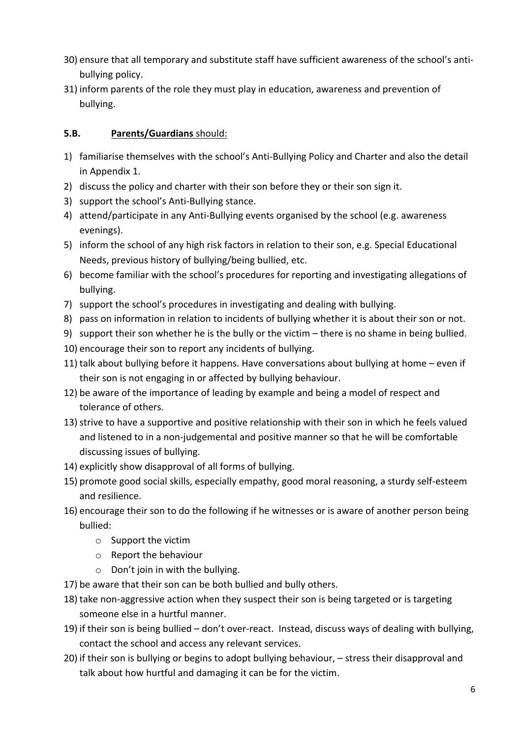- 30) ensure that all temporary and substitute staff have sufficient awareness of the school's antibullying policy.
- 31) inform parents of the role they must play in education, awareness and prevention of bullying.

## **5.B. Parents/Guardians** should:

- 1) familiarise themselves with the school's Anti-Bullying Policy and Charter and also the detail in Appendix 1.
- 2) discuss the policy and charter with their son before they or their son sign it.
- 3) support the school's Anti-Bullying stance.
- 4) attend/participate in any Anti-Bullying events organised by the school (e.g. awareness evenings).
- 5) inform the school of any high risk factors in relation to their son, e.g. Special Educational Needs, previous history of bullying/being bullied, etc.
- 6) become familiar with the school's procedures for reporting and investigating allegations of bullying.
- 7) support the school's procedures in investigating and dealing with bullying.
- 8) pass on information in relation to incidents of bullying whether it is about their son or not.
- 9) support their son whether he is the bully or the victim there is no shame in being bullied.
- 10) encourage their son to report any incidents of bullying.
- 11) talk about bullying before it happens. Have conversations about bullying at home even if their son is not engaging in or affected by bullying behaviour.
- 12) be aware of the importance of leading by example and being a model of respect and tolerance of others.
- 13) strive to have a supportive and positive relationship with their son in which he feels valued and listened to in a non-judgemental and positive manner so that he will be comfortable discussing issues of bullying.
- 14) explicitly show disapproval of all forms of bullying.
- 15) promote good social skills, especially empathy, good moral reasoning, a sturdy self-esteem and resilience.
- 16) encourage their son to do the following if he witnesses or is aware of another person being bullied:
	- o Support the victim
	- o Report the behaviour
	- o Don't join in with the bullying.
- 17) be aware that their son can be both bullied and bully others.
- 18) take non-aggressive action when they suspect their son is being targeted or is targeting someone else in a hurtful manner.
- 19) if their son is being bullied don't over-react. Instead, discuss ways of dealing with bullying, contact the school and access any relevant services.
- 20) if their son is bullying or begins to adopt bullying behaviour, stress their disapproval and talk about how hurtful and damaging it can be for the victim.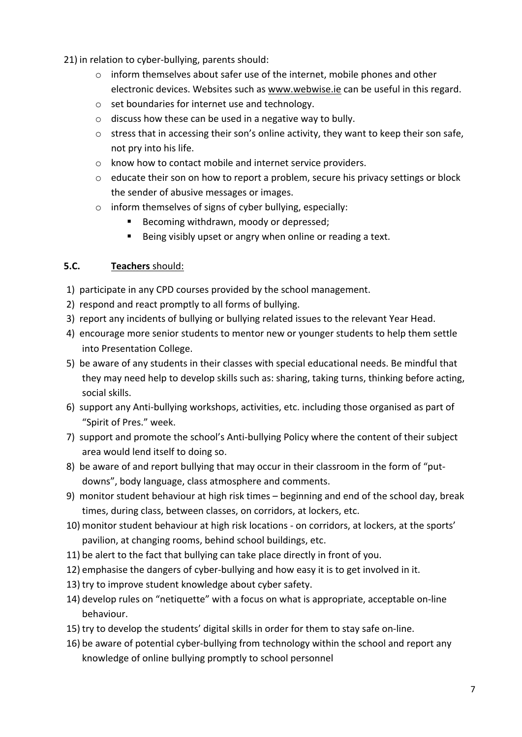21) in relation to cyber-bullying, parents should:

- $\circ$  inform themselves about safer use of the internet, mobile phones and other electronic devices. Websites such as www.webwise.ie can be useful in this regard.
- o set boundaries for internet use and technology.
- o discuss how these can be used in a negative way to bully.
- $\circ$  stress that in accessing their son's online activity, they want to keep their son safe, not pry into his life.
- o know how to contact mobile and internet service providers.
- $\circ$  educate their son on how to report a problem, secure his privacy settings or block the sender of abusive messages or images.
- o inform themselves of signs of cyber bullying, especially:
	- Becoming withdrawn, moody or depressed;
	- Being visibly upset or angry when online or reading a text.

## **5.C. Teachers** should:

- 1) participate in any CPD courses provided by the school management.
- 2) respond and react promptly to all forms of bullying.
- 3) report any incidents of bullying or bullying related issues to the relevant Year Head.
- 4) encourage more senior students to mentor new or younger students to help them settle into Presentation College.
- 5) be aware of any students in their classes with special educational needs. Be mindful that they may need help to develop skills such as: sharing, taking turns, thinking before acting, social skills.
- 6) support any Anti-bullying workshops, activities, etc. including those organised as part of "Spirit of Pres." week.
- 7) support and promote the school's Anti-bullying Policy where the content of their subject area would lend itself to doing so.
- 8) be aware of and report bullying that may occur in their classroom in the form of "putdowns", body language, class atmosphere and comments.
- 9) monitor student behaviour at high risk times beginning and end of the school day, break times, during class, between classes, on corridors, at lockers, etc.
- 10) monitor student behaviour at high risk locations on corridors, at lockers, at the sports' pavilion, at changing rooms, behind school buildings, etc.
- 11) be alert to the fact that bullying can take place directly in front of you.
- 12) emphasise the dangers of cyber-bullying and how easy it is to get involved in it.
- 13) try to improve student knowledge about cyber safety.
- 14) develop rules on "netiquette" with a focus on what is appropriate, acceptable on-line behaviour.
- 15) try to develop the students' digital skills in order for them to stay safe on-line.
- 16) be aware of potential cyber-bullying from technology within the school and report any knowledge of online bullying promptly to school personnel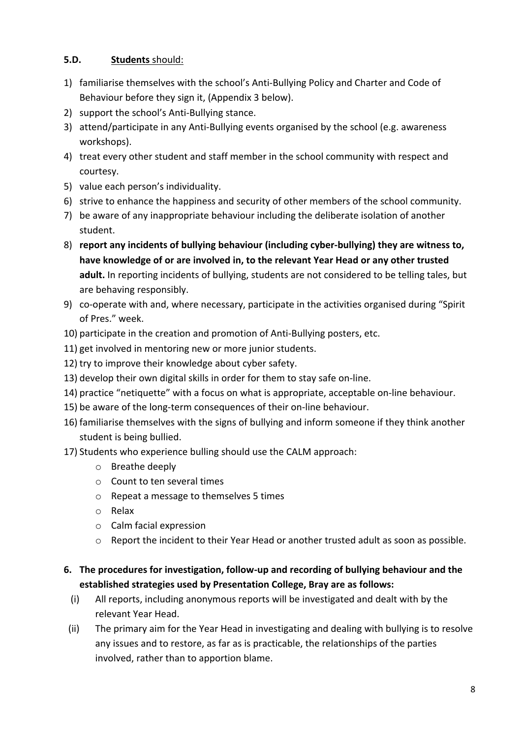## **5.D. Students** should:

- 1) familiarise themselves with the school's Anti-Bullying Policy and Charter and Code of Behaviour before they sign it, (Appendix 3 below).
- 2) support the school's Anti-Bullying stance.
- 3) attend/participate in any Anti-Bullying events organised by the school (e.g. awareness workshops).
- 4) treat every other student and staff member in the school community with respect and courtesy.
- 5) value each person's individuality.
- 6) strive to enhance the happiness and security of other members of the school community.
- 7) be aware of any inappropriate behaviour including the deliberate isolation of another student.
- 8) **report any incidents of bullying behaviour (including cyber-bullying) they are witness to, have knowledge of or are involved in, to the relevant Year Head or any other trusted adult.** In reporting incidents of bullying, students are not considered to be telling tales, but are behaving responsibly.
- 9) co-operate with and, where necessary, participate in the activities organised during "Spirit of Pres." week.
- 10) participate in the creation and promotion of Anti-Bullying posters, etc.
- 11) get involved in mentoring new or more junior students.
- 12) try to improve their knowledge about cyber safety.
- 13) develop their own digital skills in order for them to stay safe on-line.
- 14) practice "netiquette" with a focus on what is appropriate, acceptable on-line behaviour.
- 15) be aware of the long-term consequences of their on-line behaviour.
- 16) familiarise themselves with the signs of bullying and inform someone if they think another student is being bullied.
- 17) Students who experience bulling should use the CALM approach:
	- o Breathe deeply
	- o Count to ten several times
	- o Repeat a message to themselves 5 times
	- o Relax
	- o Calm facial expression
	- o Report the incident to their Year Head or another trusted adult as soon as possible.
- **6. The procedures for investigation, follow-up and recording of bullying behaviour and the established strategies used by Presentation College, Bray are as follows:**
	- (i) All reports, including anonymous reports will be investigated and dealt with by the relevant Year Head.
- (ii) The primary aim for the Year Head in investigating and dealing with bullying is to resolve any issues and to restore, as far as is practicable, the relationships of the parties involved, rather than to apportion blame.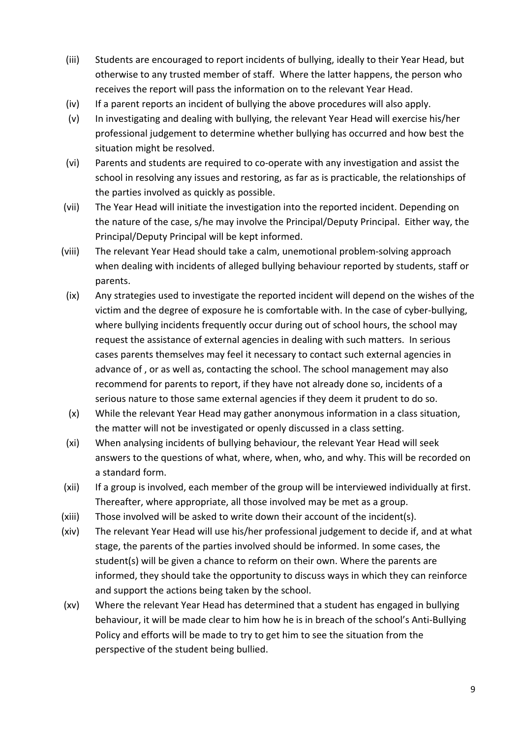- (iii) Students are encouraged to report incidents of bullying, ideally to their Year Head, but otherwise to any trusted member of staff. Where the latter happens, the person who receives the report will pass the information on to the relevant Year Head.
- (iv) If a parent reports an incident of bullying the above procedures will also apply.
- (v) In investigating and dealing with bullying, the relevant Year Head will exercise his/her professional judgement to determine whether bullying has occurred and how best the situation might be resolved.
- (vi) Parents and students are required to co-operate with any investigation and assist the school in resolving any issues and restoring, as far as is practicable, the relationships of the parties involved as quickly as possible.
- (vii) The Year Head will initiate the investigation into the reported incident. Depending on the nature of the case, s/he may involve the Principal/Deputy Principal. Either way, the Principal/Deputy Principal will be kept informed.
- (viii) The relevant Year Head should take a calm, unemotional problem-solving approach when dealing with incidents of alleged bullying behaviour reported by students, staff or parents.
	- (ix) Any strategies used to investigate the reported incident will depend on the wishes of the victim and the degree of exposure he is comfortable with. In the case of cyber-bullying, where bullying incidents frequently occur during out of school hours, the school may request the assistance of external agencies in dealing with such matters. In serious cases parents themselves may feel it necessary to contact such external agencies in advance of , or as well as, contacting the school. The school management may also recommend for parents to report, if they have not already done so, incidents of a serious nature to those same external agencies if they deem it prudent to do so.
	- (x) While the relevant Year Head may gather anonymous information in a class situation, the matter will not be investigated or openly discussed in a class setting.
	- (xi) When analysing incidents of bullying behaviour, the relevant Year Head will seek answers to the questions of what, where, when, who, and why. This will be recorded on a standard form.
- (xii) If a group is involved, each member of the group will be interviewed individually at first. Thereafter, where appropriate, all those involved may be met as a group.
- (xiii) Those involved will be asked to write down their account of the incident(s).
- (xiv) The relevant Year Head will use his/her professional judgement to decide if, and at what stage, the parents of the parties involved should be informed. In some cases, the student(s) will be given a chance to reform on their own. Where the parents are informed, they should take the opportunity to discuss ways in which they can reinforce and support the actions being taken by the school.
- (xv) Where the relevant Year Head has determined that a student has engaged in bullying behaviour, it will be made clear to him how he is in breach of the school's Anti-Bullying Policy and efforts will be made to try to get him to see the situation from the perspective of the student being bullied.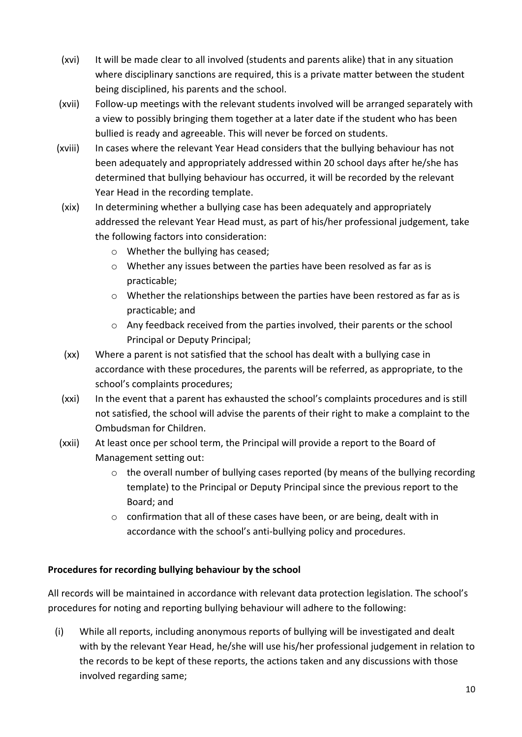- (xvi) It will be made clear to all involved (students and parents alike) that in any situation where disciplinary sanctions are required, this is a private matter between the student being disciplined, his parents and the school.
- (xvii) Follow-up meetings with the relevant students involved will be arranged separately with a view to possibly bringing them together at a later date if the student who has been bullied is ready and agreeable. This will never be forced on students.
- (xviii) In cases where the relevant Year Head considers that the bullying behaviour has not been adequately and appropriately addressed within 20 school days after he/she has determined that bullying behaviour has occurred, it will be recorded by the relevant Year Head in the recording template.
- (xix) In determining whether a bullying case has been adequately and appropriately addressed the relevant Year Head must, as part of his/her professional judgement, take the following factors into consideration:
	- o Whether the bullying has ceased;
	- o Whether any issues between the parties have been resolved as far as is practicable;
	- $\circ$  Whether the relationships between the parties have been restored as far as is practicable; and
	- o Any feedback received from the parties involved, their parents or the school Principal or Deputy Principal;
- (xx) Where a parent is not satisfied that the school has dealt with a bullying case in accordance with these procedures, the parents will be referred, as appropriate, to the school's complaints procedures;
- (xxi) In the event that a parent has exhausted the school's complaints procedures and is still not satisfied, the school will advise the parents of their right to make a complaint to the Ombudsman for Children.
- (xxii) At least once per school term, the Principal will provide a report to the Board of Management setting out:
	- $\circ$  the overall number of bullying cases reported (by means of the bullying recording template) to the Principal or Deputy Principal since the previous report to the Board; and
	- o confirmation that all of these cases have been, or are being, dealt with in accordance with the school's anti-bullying policy and procedures.

## **Procedures for recording bullying behaviour by the school**

All records will be maintained in accordance with relevant data protection legislation. The school's procedures for noting and reporting bullying behaviour will adhere to the following:

(i) While all reports, including anonymous reports of bullying will be investigated and dealt with by the relevant Year Head, he/she will use his/her professional judgement in relation to the records to be kept of these reports, the actions taken and any discussions with those involved regarding same;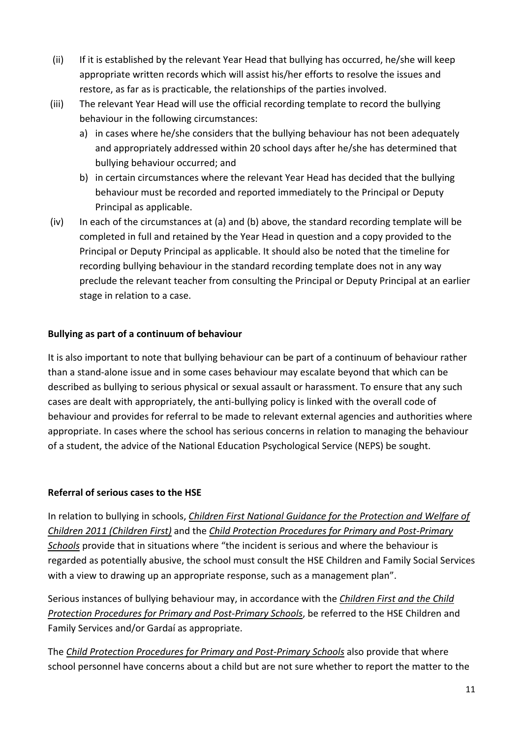- (ii) If it is established by the relevant Year Head that bullying has occurred, he/she will keep appropriate written records which will assist his/her efforts to resolve the issues and restore, as far as is practicable, the relationships of the parties involved.
- (iii) The relevant Year Head will use the official recording template to record the bullying behaviour in the following circumstances:
	- a) in cases where he/she considers that the bullying behaviour has not been adequately and appropriately addressed within 20 school days after he/she has determined that bullying behaviour occurred; and
	- b) in certain circumstances where the relevant Year Head has decided that the bullying behaviour must be recorded and reported immediately to the Principal or Deputy Principal as applicable.
- (iv) In each of the circumstances at (a) and (b) above, the standard recording template will be completed in full and retained by the Year Head in question and a copy provided to the Principal or Deputy Principal as applicable. It should also be noted that the timeline for recording bullying behaviour in the standard recording template does not in any way preclude the relevant teacher from consulting the Principal or Deputy Principal at an earlier stage in relation to a case.

## **Bullying as part of a continuum of behaviour**

It is also important to note that bullying behaviour can be part of a continuum of behaviour rather than a stand-alone issue and in some cases behaviour may escalate beyond that which can be described as bullying to serious physical or sexual assault or harassment. To ensure that any such cases are dealt with appropriately, the anti-bullying policy is linked with the overall code of behaviour and provides for referral to be made to relevant external agencies and authorities where appropriate. In cases where the school has serious concerns in relation to managing the behaviour of a student, the advice of the National Education Psychological Service (NEPS) be sought.

## **Referral of serious cases to the HSE**

In relation to bullying in schools, *Children First National Guidance for the Protection and Welfare of Children 2011 (Children First)* and the *Child Protection Procedures for Primary and Post-Primary Schools* provide that in situations where "the incident is serious and where the behaviour is regarded as potentially abusive, the school must consult the HSE Children and Family Social Services with a view to drawing up an appropriate response, such as a management plan".

Serious instances of bullying behaviour may, in accordance with the *Children First and the Child Protection Procedures for Primary and Post-Primary Schools*, be referred to the HSE Children and Family Services and/or Gardaí as appropriate.

The *Child Protection Procedures for Primary and Post-Primary Schools* also provide that where school personnel have concerns about a child but are not sure whether to report the matter to the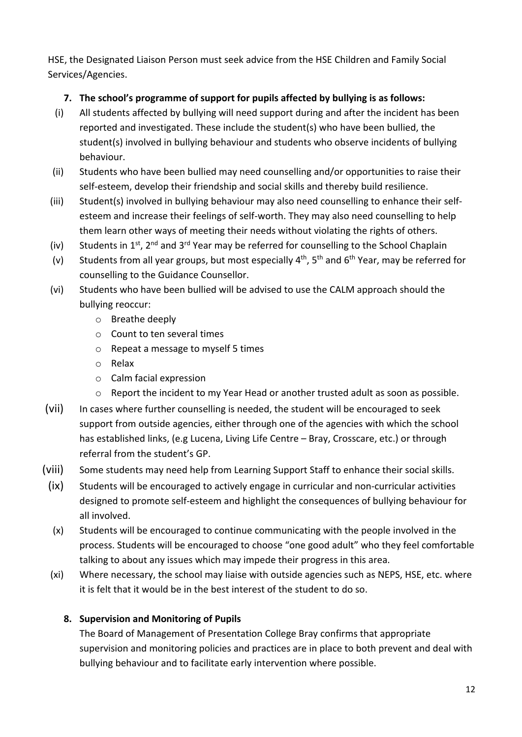HSE, the Designated Liaison Person must seek advice from the HSE Children and Family Social Services/Agencies.

## **7. The school's programme of support for pupils affected by bullying is as follows:**

- (i) All students affected by bullying will need support during and after the incident has been reported and investigated. These include the student(s) who have been bullied, the student(s) involved in bullying behaviour and students who observe incidents of bullying behaviour.
- (ii) Students who have been bullied may need counselling and/or opportunities to raise their self-esteem, develop their friendship and social skills and thereby build resilience.
- (iii) Student(s) involved in bullying behaviour may also need counselling to enhance their selfesteem and increase their feelings of self-worth. They may also need counselling to help them learn other ways of meeting their needs without violating the rights of others.
- (iv) Students in 1st, 2<sup>nd</sup> and 3<sup>rd</sup> Year may be referred for counselling to the School Chaplain
- (v) Students from all year groups, but most especially  $4^{th}$ ,  $5^{th}$  and  $6^{th}$  Year, may be referred for counselling to the Guidance Counsellor.
- (vi) Students who have been bullied will be advised to use the CALM approach should the bullying reoccur:
	- o Breathe deeply
	- o Count to ten several times
	- o Repeat a message to myself 5 times
	- o Relax
	- o Calm facial expression
	- $\circ$  Report the incident to my Year Head or another trusted adult as soon as possible.
- (vii) In cases where further counselling is needed, the student will be encouraged to seek support from outside agencies, either through one of the agencies with which the school has established links, (e.g Lucena, Living Life Centre – Bray, Crosscare, etc.) or through referral from the student's GP.
- (viii) Some students may need help from Learning Support Staff to enhance their social skills.
- (ix) Students will be encouraged to actively engage in curricular and non-curricular activities designed to promote self-esteem and highlight the consequences of bullying behaviour for all involved.
- (x) Students will be encouraged to continue communicating with the people involved in the process. Students will be encouraged to choose "one good adult" who they feel comfortable talking to about any issues which may impede their progress in this area.
- (xi) Where necessary, the school may liaise with outside agencies such as NEPS, HSE, etc. where it is felt that it would be in the best interest of the student to do so.

# **8. Supervision and Monitoring of Pupils**

The Board of Management of Presentation College Bray confirms that appropriate supervision and monitoring policies and practices are in place to both prevent and deal with bullying behaviour and to facilitate early intervention where possible.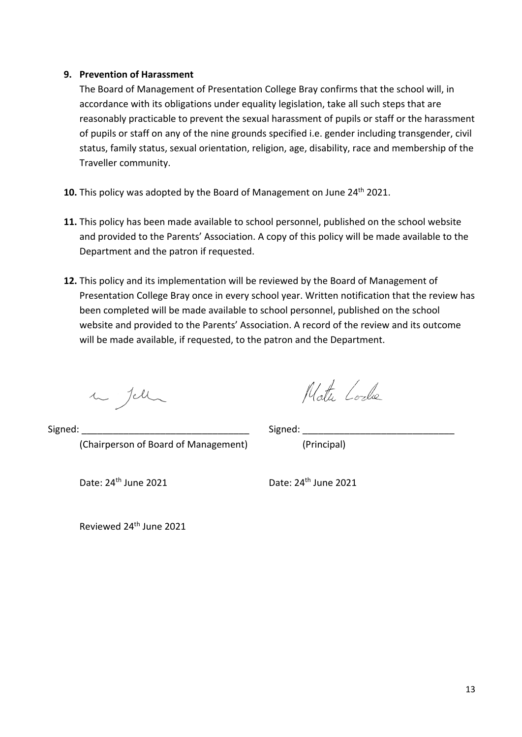## **9. Prevention of Harassment**

The Board of Management of Presentation College Bray confirms that the school will, in accordance with its obligations under equality legislation, take all such steps that are reasonably practicable to prevent the sexual harassment of pupils or staff or the harassment of pupils or staff on any of the nine grounds specified i.e. gender including transgender, civil status, family status, sexual orientation, religion, age, disability, race and membership of the Traveller community.

- **10.** This policy was adopted by the Board of Management on June 24<sup>th</sup> 2021.
- **11.** This policy has been made available to school personnel, published on the school website and provided to the Parents' Association. A copy of this policy will be made available to the Department and the patron if requested.
- **12.** This policy and its implementation will be reviewed by the Board of Management of Presentation College Bray once in every school year. Written notification that the review has been completed will be made available to school personnel, published on the school website and provided to the Parents' Association. A record of the review and its outcome will be made available, if requested, to the patron and the Department.

in Jell

Note Code

Signed: \_\_\_\_\_\_\_\_\_\_\_\_\_\_\_\_\_\_\_\_\_\_\_\_\_\_\_\_\_\_\_\_ Signed: \_\_\_\_\_\_\_\_\_\_\_\_\_\_\_\_\_\_\_\_\_\_\_\_\_\_\_\_\_ (Chairperson of Board of Management) (Principal)

Date: 24<sup>th</sup> June 2021 Date: 24<sup>th</sup> June 2021

Reviewed 24th June 2021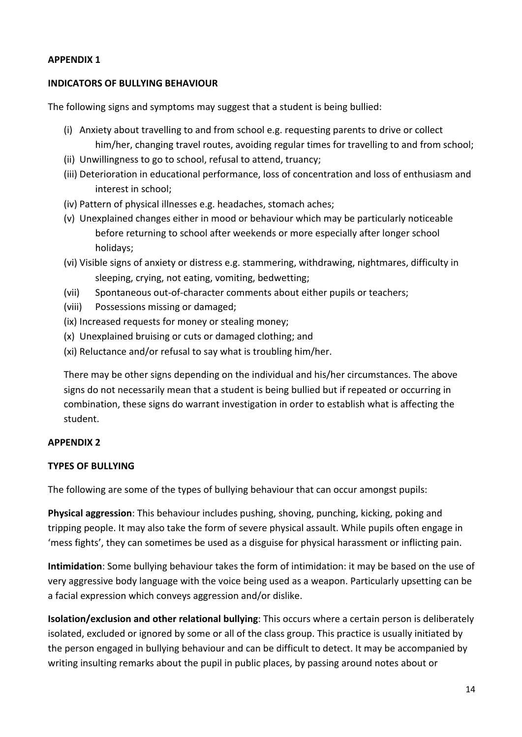## **APPENDIX 1**

### **INDICATORS OF BULLYING BEHAVIOUR**

The following signs and symptoms may suggest that a student is being bullied:

- (i) Anxiety about travelling to and from school e.g. requesting parents to drive or collect him/her, changing travel routes, avoiding regular times for travelling to and from school;
- (ii) Unwillingness to go to school, refusal to attend, truancy;
- (iii) Deterioration in educational performance, loss of concentration and loss of enthusiasm and interest in school;
- (iv) Pattern of physical illnesses e.g. headaches, stomach aches;
- (v) Unexplained changes either in mood or behaviour which may be particularly noticeable before returning to school after weekends or more especially after longer school holidays;
- (vi) Visible signs of anxiety or distress e.g. stammering, withdrawing, nightmares, difficulty in sleeping, crying, not eating, vomiting, bedwetting;
- (vii) Spontaneous out-of-character comments about either pupils or teachers;
- (viii) Possessions missing or damaged;
- (ix) Increased requests for money or stealing money;
- (x) Unexplained bruising or cuts or damaged clothing; and
- (xi) Reluctance and/or refusal to say what is troubling him/her.

There may be other signs depending on the individual and his/her circumstances. The above signs do not necessarily mean that a student is being bullied but if repeated or occurring in combination, these signs do warrant investigation in order to establish what is affecting the student.

## **APPENDIX 2**

## **TYPES OF BULLYING**

The following are some of the types of bullying behaviour that can occur amongst pupils:

**Physical aggression**: This behaviour includes pushing, shoving, punching, kicking, poking and tripping people. It may also take the form of severe physical assault. While pupils often engage in 'mess fights', they can sometimes be used as a disguise for physical harassment or inflicting pain.

**Intimidation**: Some bullying behaviour takes the form of intimidation: it may be based on the use of very aggressive body language with the voice being used as a weapon. Particularly upsetting can be a facial expression which conveys aggression and/or dislike.

**Isolation/exclusion and other relational bullying**: This occurs where a certain person is deliberately isolated, excluded or ignored by some or all of the class group. This practice is usually initiated by the person engaged in bullying behaviour and can be difficult to detect. It may be accompanied by writing insulting remarks about the pupil in public places, by passing around notes about or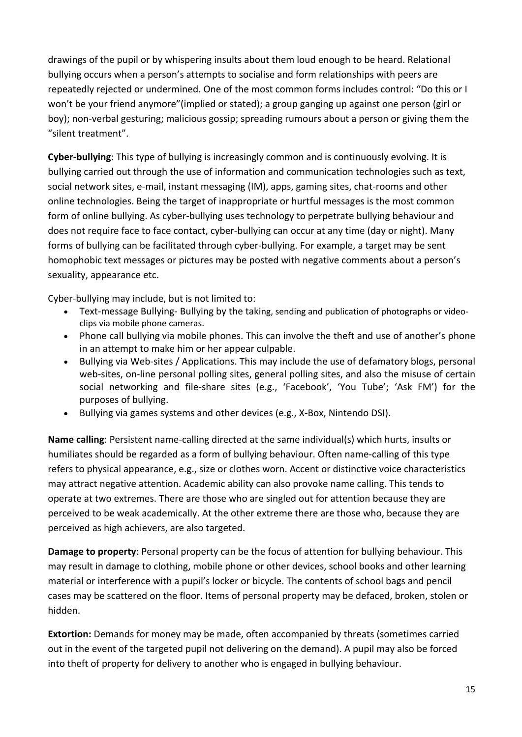drawings of the pupil or by whispering insults about them loud enough to be heard. Relational bullying occurs when a person's attempts to socialise and form relationships with peers are repeatedly rejected or undermined. One of the most common forms includes control: "Do this or I won't be your friend anymore"(implied or stated); a group ganging up against one person (girl or boy); non-verbal gesturing; malicious gossip; spreading rumours about a person or giving them the "silent treatment".

**Cyber-bullying**: This type of bullying is increasingly common and is continuously evolving. It is bullying carried out through the use of information and communication technologies such as text, social network sites, e-mail, instant messaging (IM), apps, gaming sites, chat-rooms and other online technologies. Being the target of inappropriate or hurtful messages is the most common form of online bullying. As cyber-bullying uses technology to perpetrate bullying behaviour and does not require face to face contact, cyber-bullying can occur at any time (day or night). Many forms of bullying can be facilitated through cyber-bullying. For example, a target may be sent homophobic text messages or pictures may be posted with negative comments about a person's sexuality, appearance etc.

Cyber-bullying may include, but is not limited to:

- Text-message Bullying- Bullying by the taking, sending and publication of photographs or videoclips via mobile phone cameras.
- Phone call bullying via mobile phones. This can involve the theft and use of another's phone in an attempt to make him or her appear culpable.
- Bullying via Web-sites / Applications. This may include the use of defamatory blogs, personal web-sites, on-line personal polling sites, general polling sites, and also the misuse of certain social networking and file-share sites (e.g., 'Facebook', 'You Tube'; 'Ask FM') for the purposes of bullying.
- Bullying via games systems and other devices (e.g., X-Box, Nintendo DSI).

**Name calling**: Persistent name-calling directed at the same individual(s) which hurts, insults or humiliates should be regarded as a form of bullying behaviour. Often name-calling of this type refers to physical appearance, e.g., size or clothes worn. Accent or distinctive voice characteristics may attract negative attention. Academic ability can also provoke name calling. This tends to operate at two extremes. There are those who are singled out for attention because they are perceived to be weak academically. At the other extreme there are those who, because they are perceived as high achievers, are also targeted.

**Damage to property**: Personal property can be the focus of attention for bullying behaviour. This may result in damage to clothing, mobile phone or other devices, school books and other learning material or interference with a pupil's locker or bicycle. The contents of school bags and pencil cases may be scattered on the floor. Items of personal property may be defaced, broken, stolen or hidden.

**Extortion:** Demands for money may be made, often accompanied by threats (sometimes carried out in the event of the targeted pupil not delivering on the demand). A pupil may also be forced into theft of property for delivery to another who is engaged in bullying behaviour.